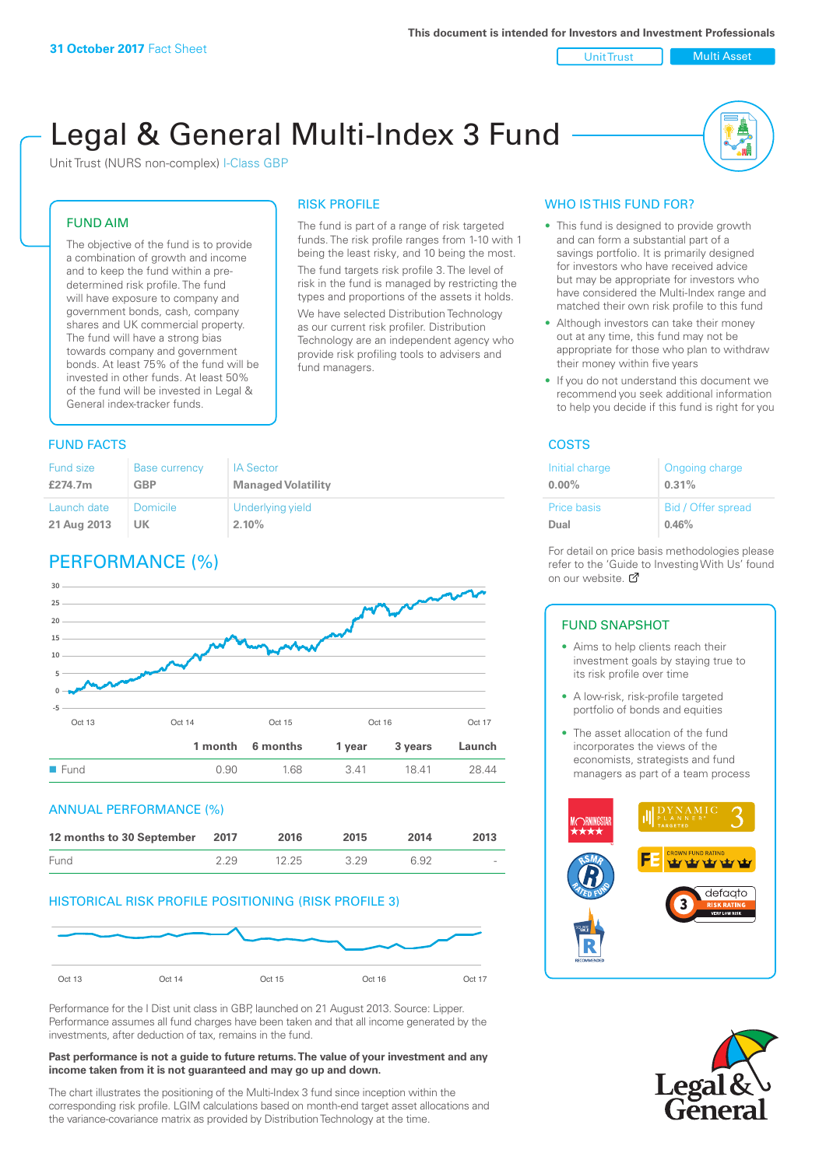Unit Trust Nulti Asset

# Legal & General Multi-Index 3 Fund

RISK PROFILE

fund managers.

The fund is part of a range of risk targeted funds. The risk profile ranges from 1-10 with 1 being the least risky, and 10 being the most. The fund targets risk profile 3. The level of risk in the fund is managed by restricting the types and proportions of the assets it holds. We have selected Distribution Technology as our current risk profiler. Distribution Technology are an independent agency who provide risk profiling tools to advisers and

Unit Trust (NURS non-complex) I-Class GBP

# FUND AIM

The objective of the fund is to provide a combination of growth and income and to keep the fund within a predetermined risk profile. The fund will have exposure to company and government bonds, cash, company shares and UK commercial property. The fund will have a strong bias towards company and government bonds. At least 75% of the fund will be invested in other funds. At least 50% of the fund will be invested in Legal & General index-tracker funds.

# **FUND FACTS** COSTS

#### Fund size **£274.7m** Base currency **GBP** IA Sector **Managed Volatility** Launch date **21 Aug 2013** Domicile **UK** Underlying yield **2.10%**

# PERFORMANCE (%)



### ANNUAL PERFORMANCE (%)



# HISTORICAL RISK PROFILE POSITIONING (RISK PROFILE 3)



Performance for the I Dist unit class in GBP, launched on 21 August 2013. Source: Lipper. Performance assumes all fund charges have been taken and that all income generated by the investments, after deduction of tax, remains in the fund.

#### **Past performance is not a guide to future returns. The value of your investment and any income taken from it is not guaranteed and may go up and down.**

The chart illustrates the positioning of the Multi-Index 3 fund since inception within the corresponding risk profile. LGIM calculations based on month-end target asset allocations and the variance-covariance matrix as provided by Distribution Technology at the time.

# WHO IS THIS FUND FOR?

- This fund is designed to provide growth and can form a substantial part of a savings portfolio. It is primarily designed for investors who have received advice but may be appropriate for investors who have considered the Multi-Index range and matched their own risk profile to this fund
- Although investors can take their money out at any time, this fund may not be appropriate for those who plan to withdraw their money within five years
- If you do not understand this document we recommend you seek additional information to help you decide if this fund is right for you

| Initial charge     | Ongoing charge     |
|--------------------|--------------------|
| $0.00\%$           | 0.31%              |
| <b>Price basis</b> | Bid / Offer spread |
| Dual               | 0.46%              |

For detail on price basis methodologies please refer to the 'Gu[ide t](http://www.legalandgeneral.com/guide)o Investing With Us' found on our website. Ø

# FUND SNAPSHOT

- Aims to help clients reach their investment goals by staying true to its risk profile over time
- A low-risk, risk-profile targeted portfolio of bonds and equities
- The asset allocation of the fund incorporates the views of the economists, strategists and fund managers as part of a team process



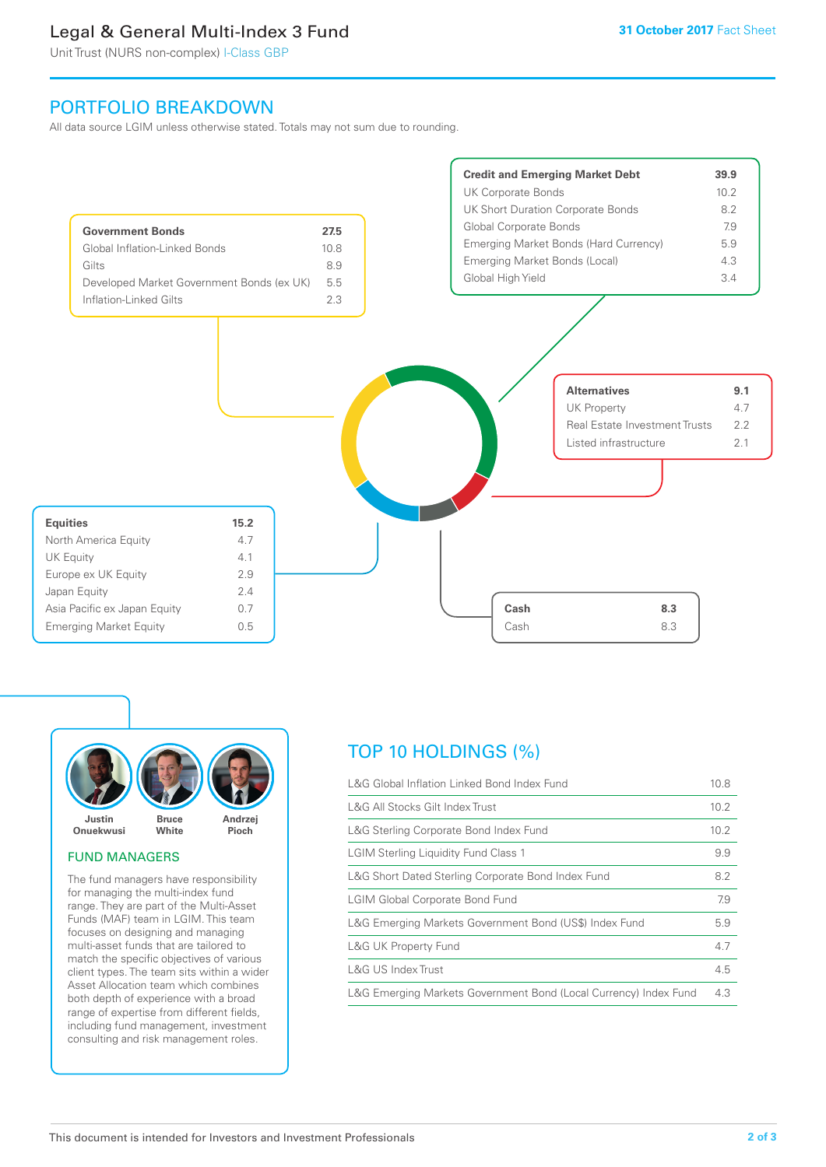# Legal & General Multi-Index 3 Fund

Unit Trust (NURS non-complex) I-Class GBP

# PORTFOLIO BREAKDOWN

All data source LGIM unless otherwise stated. Totals may not sum due to rounding.





### FUND MANAGERS

The fund managers have responsibility for managing the multi-index fund range. They are part of the Multi-Asset Funds (MAF) team in LGIM. This team focuses on designing and managing multi-asset funds that are tailored to match the specific objectives of various client types. The team sits within a wider Asset Allocation team which combines both depth of experience with a broad range of expertise from different fields, including fund management, investment consulting and risk management roles.

# TOP 10 HOLDINGS (%)

| L&G Global Inflation Linked Bond Index Fund                      |      |
|------------------------------------------------------------------|------|
| L&G All Stocks Gilt Index Trust                                  | 10.2 |
| L&G Sterling Corporate Bond Index Fund                           | 10.2 |
| <b>LGIM Sterling Liquidity Fund Class 1</b>                      | 9.9  |
| L&G Short Dated Sterling Corporate Bond Index Fund               | 8.2  |
| <b>LGIM Global Corporate Bond Fund</b>                           | 7.9  |
| L&G Emerging Markets Government Bond (US\$) Index Fund           | 5.9  |
| <b>L&amp;G UK Property Fund</b>                                  | 4.7  |
| L&G US Index Trust                                               | 4.5  |
| L&G Emerging Markets Government Bond (Local Currency) Index Fund | 4.3  |